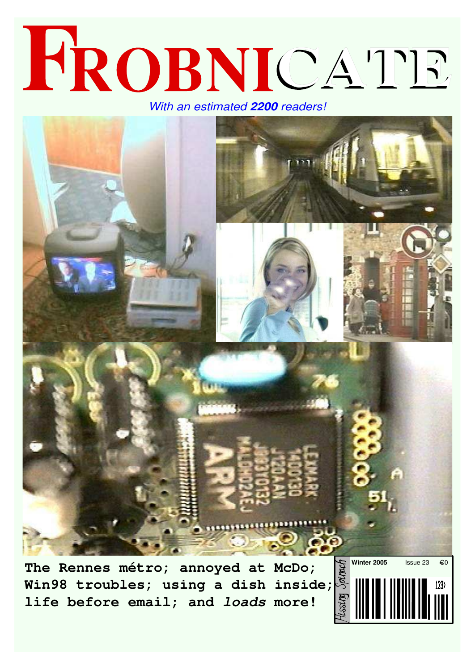### FROBNICATE *With an estimated 2200 readers!*

**The Rennes métro; annoyed at McDo; Win98 troubles; using a dish inside; life before email; and** *loads* **more!**

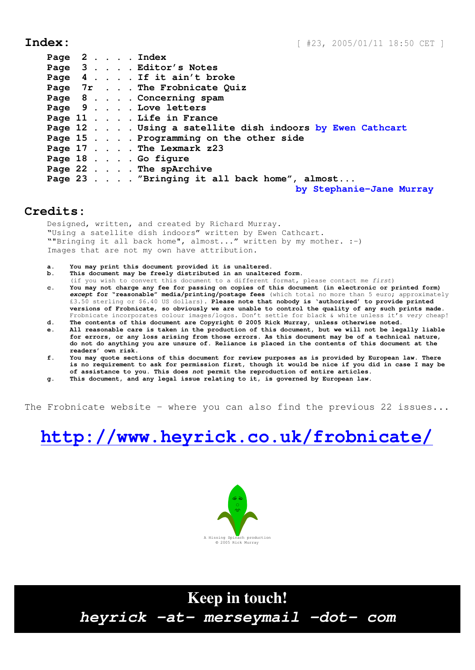|  |  |  | Page 2 Index                                            |
|--|--|--|---------------------------------------------------------|
|  |  |  | Page 3 Editor's Notes                                   |
|  |  |  | Page 4 If it ain't broke                                |
|  |  |  | Page 7r The Frobnicate Quiz                             |
|  |  |  | Page 8 Concerning spam                                  |
|  |  |  | Page 9 Love letters                                     |
|  |  |  | Page 11 Life in France                                  |
|  |  |  | Page 12 Using a satellite dish indoors by Ewen Cathcart |
|  |  |  | Page 15 Programming on the other side                   |
|  |  |  | Page 17 The Lexmark z23                                 |
|  |  |  | Page 18 Go figure                                       |
|  |  |  | Page 22 The spArchive                                   |
|  |  |  | Page 23 "Bringing it all back home", almost             |
|  |  |  | by Stephanie-Jane Murray                                |

#### **Credits:**

Designed, written, and created by Richard Murray. "Using a satellite dish indoors" written by Ewen Cathcart. ""Bringing it all back home", almost..." written by my mother. :-) Images that are not my own have attribution.

- **a. You may print this document provided it is unaltered.**
- **b. This document may be freely distributed in an unaltered form.**
- (if you wish to convert this document to a different format, please contact me *first*) **c. You may not charge any fee for passing on copies of this document (in electronic or printed form)** *except* **for "reasonable" media/printing/postage fees** (which total no more than 5 euro; approximately £3.50 sterling or \$6.40 US dollars)**. Please note that nobody is 'authorised' to provide printed versions of Frobnicate, so obviously we are unable to control the quality of any such prints made.** Frobnicate incorporates colour images/logos. Don't settle for black & white unless it's *very* cheap!
- **d. The contents of this document are Copyright © 2005 Rick Murray, unless otherwise noted.**
- **e. All reasonable care is taken in the production of this document, but we will not be legally liable for errors, or any loss arising from those errors. As this document may be of a technical nature, do not do anything you are unsure of. Reliance is placed in the contents of this document at the readers' own risk.**
- **f. You may quote sections of this document for review purposes as is provided by European law. There is no requirement to ask for permission first, though it would be nice if you did in case I may be of assistance to you. This does** *not* **permit the reproduction of entire articles.**
- **g. This document, and any legal issue relating to it, is governed by European law.**

The Frobnicate website − where you can also find the previous 22 issues...

### **http://www.heyrick.co.uk/frobnicate/**



**Keep in touch!** *heyrick -at- merseymail -dot- com*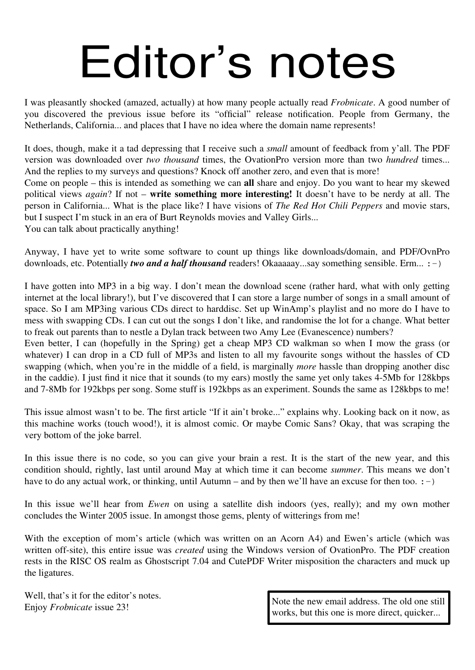## Editor's notes

I was pleasantly shocked (amazed, actually) at how many people actually read *Frobnicate*. A good number of you discovered the previous issue before its "official" release notification. People from Germany, the Netherlands, California... and places that I have no idea where the domain name represents!

It does, though, make it a tad depressing that I receive such a *small* amount of feedback from y'all. The PDF version was downloaded over *two thousand* times, the OvationPro version more than two *hundred* times... And the replies to my surveys and questions? Knock off another zero, and even that is more! Come on people – this is intended as something we can **all** share and enjoy. Do you want to hear my skewed political views *again*? If not – **write something more interesting!** It doesn't have to be nerdy at all. The person in California... What is the place like? I have visions of *The Red Hot Chili Peppers* and movie stars, but I suspect I'm stuck in an era of Burt Reynolds movies and Valley Girls... You can talk about practically anything!

Anyway, I have yet to write some software to count up things like downloads/domain, and PDF/OvnPro downloads, etc. Potentially *two and a half thousand* readers! Okaaaaay...say something sensible. Erm... :-)

I have gotten into MP3 in a big way. I don't mean the download scene (rather hard, what with only getting internet at the local library!), but I've discovered that I can store a large number of songs in a small amount of space. So I am MP3ing various CDs direct to harddisc. Set up WinAmp's playlist and no more do I have to mess with swapping CDs. I can cut out the songs I don't like, and randomise the lot for a change. What better to freak out parents than to nestle a Dylan track between two Amy Lee (Evanescence) numbers?

Even better, I can (hopefully in the Spring) get a cheap MP3 CD walkman so when I mow the grass (or whatever) I can drop in a CD full of MP3s and listen to all my favourite songs without the hassles of CD swapping (which, when you're in the middle of a field, is marginally *more* hassle than dropping another disc in the caddie). I just find it nice that it sounds (to my ears) mostly the same yet only takes 4-5Mb for 128kbps and 7-8Mb for 192kbps per song. Some stuff is 192kbps as an experiment. Sounds the same as 128kbps to me!

This issue almost wasn't to be. The first article "If it ain't broke..." explains why. Looking back on it now, as this machine works (touch wood!), it is almost comic. Or maybe Comic Sans? Okay, that was scraping the very bottom of the joke barrel.

In this issue there is no code, so you can give your brain a rest. It is the start of the new year, and this condition should, rightly, last until around May at which time it can become *summer*. This means we don't have to do any actual work, or thinking, until Autumn – and by then we'll have an excuse for then too.  $:-)$ 

In this issue we'll hear from *Ewen* on using a satellite dish indoors (yes, really); and my own mother concludes the Winter 2005 issue. In amongst those gems, plenty of witterings from me!

With the exception of mom's article (which was written on an Acorn A4) and Ewen's article (which was written off-site), this entire issue was *created* using the Windows version of OvationPro. The PDF creation rests in the RISC OS realm as Ghostscript 7.04 and CutePDF Writer misposition the characters and muck up the ligatures.

Well, that's it for the editor's notes. Enjoy *Frobnicate* issue 23!

Note the new email address. The old one still works, but this one is more direct, quicker...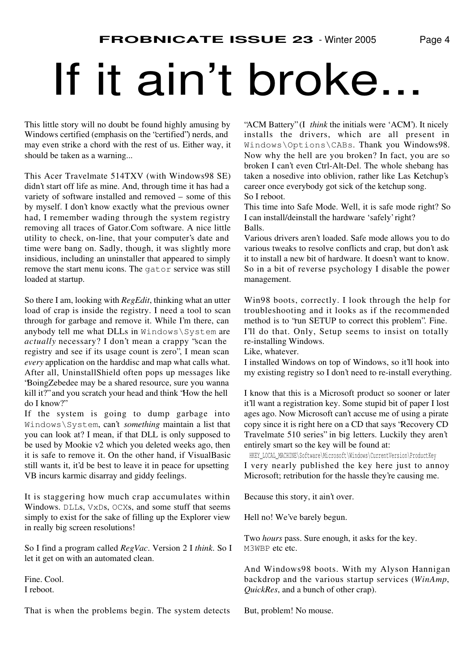## If it ain't broke..

This little story will no doubt be found highly amusing by Windows certified (emphasis on the "certified") nerds, and may even strike a chord with the rest of us. Either way, it should be taken as a warning...

This Acer Travelmate 514TXV (with Windows98 SE) didn't start off life as mine. And, through time it has had a variety of software installed and removed – some of this by myself. I don't know exactly what the previous owner had, I remember wading through the system registry removing all traces of Gator.Com software. A nice little utility to check, on-line, that your computer's date and time were bang on. Sadly, though, it was slightly more insidious, including an uninstaller that appeared to simply remove the start menu icons. The gator service was still loaded at startup.

So there I am, looking with *RegEdit*, thinking what an utter load of crap is inside the registry. I need a tool to scan through for garbage and remove it. While I'm there, can anybody tell me what DLLs in Windows\System are *actually* necessary? I don't mean a crappy "scan the registry and see if its usage count is zero", I mean scan *every* application on the harddisc and map what calls what. After all, UninstallShield often pops up messages like "BoingZebedee may be a shared resource, sure you wanna kill it?" and you scratch your head and think "How the hell do I know?"

If the system is going to dump garbage into Windows\System, can't *something* maintain a list that you can look at? I mean, if that DLL is only supposed to be used by Mookie v2 which you deleted weeks ago, then it is safe to remove it. On the other hand, if VisualBasic still wants it, it'd be best to leave it in peace for upsetting VB incurs karmic disarray and giddy feelings.

It is staggering how much crap accumulates within Windows. DLLs, VxDs, OCXs, and some stuff that seems simply to exist for the sake of filling up the Explorer view in really big screen resolutions!

So I find a program called *RegVac*. Version 2 I *think*. So I let it get on with an automated clean.

Fine. Cool. I reboot.

That is when the problems begin. The system detects

"ACM Battery" (I *think* the initials were 'ACM'). It nicely installs the drivers, which are all present in Windows\Options\CABs. Thank you Windows98. Now why the hell are you broken? In fact, you are so broken I can't even Ctrl-Alt-Del. The whole shebang has taken a nosedive into oblivion, rather like Las Ketchup's career once everybody got sick of the ketchup song. So I reboot.

This time into Safe Mode. Well, it is safe mode right? So I can install/deinstall the hardware 'safely' right? Balls.

Various drivers aren't loaded. Safe mode allows you to do various tweaks to resolve conflicts and crap, but don't ask it to install a new bit of hardware. It doesn't want to know. So in a bit of reverse psychology I disable the power management.

Win98 boots, correctly. I look through the help for troubleshooting and it looks as if the recommended method is to "run SETUP to correct this problem". Fine. I'll do that. Only, Setup seems to insist on totally re-installing Windows.

Like, whatever.

I installed Windows on top of Windows, so it'll hook into my existing registry so I don't need to re-install everything.

I know that this is a Microsoft product so sooner or later it'll want a registration key. Some stupid bit of paper I lost ages ago. Now Microsoft can't accuse me of using a pirate copy since it is right here on a CD that says "Recovery CD Travelmate 510 series" in big letters. Luckily they aren't entirely smart so the key will be found at:

HKEY\_LOCAL\_MACHINE\Software\Microsoft\Windows\CurrentVersion\ProductKey I very nearly published the key here just to annoy Microsoft; retribution for the hassle they're causing me.

Because this story, it ain't over.

Hell no! We've barely begun.

Two *hours* pass. Sure enough, it asks for the key. M3WBP etc etc.

And Windows98 boots. With my Alyson Hannigan backdrop and the various startup services (*WinAmp*, *QuickRes*, and a bunch of other crap).

But, problem! No mouse.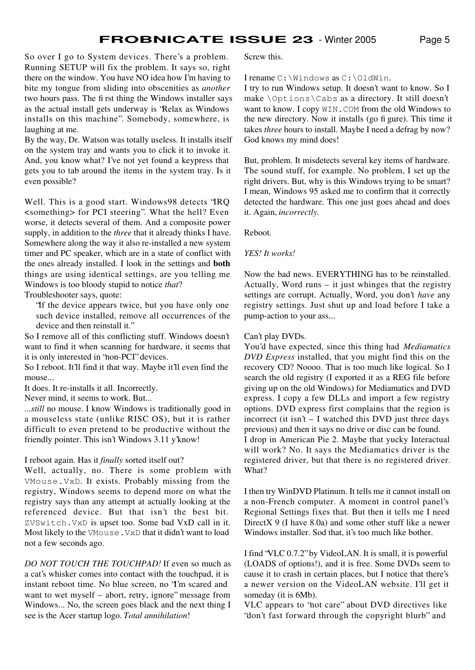So over I go to System devices. There's a problem. Running SETUP will fix the problem. It says so, right there on the window. You have NO idea how I'm having to bite my tongue from sliding into obscenities as *another* two hours pass. The first thing the Windows installer says as the actual install gets underway is "Relax as Windows installs on this machine". Somebody, somewhere, is laughing at me.

By the way, Dr. Watson was totally useless. It installs itself on the system tray and wants you to click it to invoke it. And, you know what? I've not yet found a keypress that gets you to tab around the items in the system tray. Is it even possible?

Well. This is a good start. Windows98 detects "IRQ <something> for PCI steering". What the hell? Even worse, it detects several of them. And a composite power supply, in addition to the *three* that it already thinks I have. Somewhere along the way it also re-installed a new system timer and PC speaker, which are in a state of conflict with the ones already installed. I look in the settings and **both** things are using identical settings, are you telling me Windows is too bloody stupid to notice *that*?

Troubleshooter says, quote:

"If the device appears twice, but you have only one such device installed, remove all occurrences of the device and then reinstall it.'

So I remove all of this conflicting stuff. Windows doesn't want to find it when scanning for hardware, it seems that it is only interested in "non-PCI" devices.

So I reboot. It'll find it that way. Maybe it'll even find the mouse...

It does. It re-installs it all. Incorrectly.

Never mind, it seems to work. But...

...*still* no mouse. I know Windows is traditionally good in a mouseless state (unlike RISC OS), but it is rather difficult to even pretend to be productive without the friendly pointer. This isn't Windows 3.11 y'know!

#### I reboot again. Has it *finally* sorted itself out?

Well, actually, no. There is some problem with VMouse.VxD. It exists. Probably missing from the registry, Windows seems to depend more on what the registry says than any attempt at actually looking at the referenced device. But that isn't the best bit. ZVSwitch.VxD is upset too. Some bad VxD call in it. Most likely to the VMouse.VxD that it didn't want to load not a few seconds ago.

*DO NOT TOUCH THE TOUCHPAD!* If even so much as a cat's whisker comes into contact with the touchpad, it is instant reboot time. No blue screen, no "I'm scared and want to wet myself – abort, retry, ignore" message from Windows... No, the screen goes black and the next thing I see is the Acer startup logo. *Total annihilation*!

Screw this.

I rename C:\Windows as C:\OldWin.

I try to run Windows setup. It doesn't want to know. So I make \Options\Cabs as a directory. It still doesn't want to know. I copy  $WIN$ . COM from the old Windows to the new directory. Now it installs (go figure). This time it takes *three* hours to install. Maybe I need a defrag by now? God knows my mind does!

But, problem. It misdetects several key items of hardware. The sound stuff, for example. No problem, I set up the right drivers. But, why is this Windows trying to be smart? I mean, Windows 95 asked me to confirm that it correctly detected the hardware. This one just goes ahead and does it. Again, *incorrectly*.

Reboot.

#### *YES! It works!*

Now the bad news. EVERYTHING has to be reinstalled. Actually, Word runs – it just whinges that the registry settings are corrupt. Actually, Word, you don't *have* any registry settings. Just shut up and load before I take a pump-action to your ass...

#### Can't play DVDs.

You'd have expected, since this thing had *Mediamatics DVD Express* installed, that you might find this on the recovery CD? Noooo. That is too much like logical. So I search the old registry (I exported it as a REG file before giving up on the old Windows) for Mediamatics and DVD express. I copy a few DLLs and import a few registry options. DVD express first complains that the region is incorrect (it isn't – I watched this DVD just three days previous) and then it says no drive or disc can be found. I drop in American Pie 2. Maybe that yucky Interactual will work? No. It says the Mediamatics driver is the registered driver, but that there is no registered driver. What?

I then try WinDVD Platinum. It tells me it cannot install on a non-French computer. A moment in control panel's Regional Settings fixes that. But then it tells me I need DirectX 9 (I have 8.0a) and some other stuff like a newer Windows installer. Sod that, it's too much like bother.

I find "VLC 0.7.2" by VideoLAN. It is small, it is powerful (LOADS of options!), and it is free. Some DVDs seem to cause it to crash in certain places, but I notice that there's a newer version on the VideoLAN website. I'll get it someday (it is 6Mb).

VLC appears to "not care" about DVD directives like "don't fast forward through the copyright blurb" and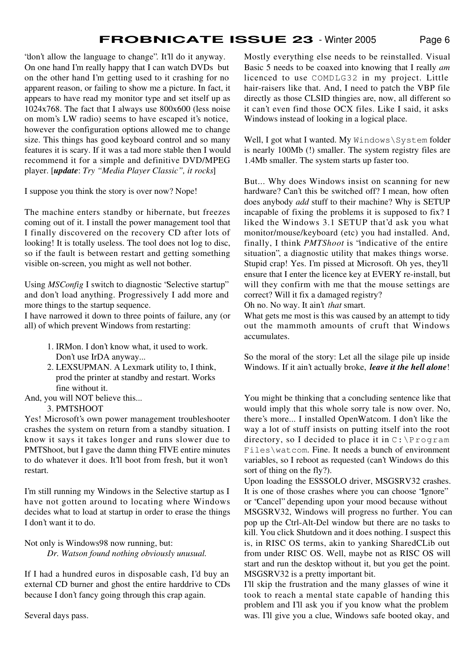"don't allow the language to change". It'll do it anyway. On one hand I'm really happy that I can watch DVDs but on the other hand I'm getting used to it crashing for no apparent reason, or failing to show me a picture. In fact, it appears to have read my monitor type and set itself up as 1024x768. The fact that I always use 800x600 (less noise on mom's LW radio) seems to have escaped it's notice, however the configuration options allowed me to change size. This things has good keyboard control and so many features it is scary. If it was a tad more stable then I would recommend it for a simple and definitive DVD/MPEG player. [*update*: *Try "Media Player Classic", it rocks*]

I suppose you think the story is over now? Nope!

The machine enters standby or hibernate, but freezes coming out of it. I install the power management tool that I finally discovered on the recovery CD after lots of looking! It is totally useless. The tool does not log to disc, so if the fault is between restart and getting something visible on-screen, you might as well not bother.

Using *MSConfig* I switch to diagnostic "Selective startup" and don't load anything. Progressively I add more and more things to the startup sequence.

I have narrowed it down to three points of failure, any (or all) of which prevent Windows from restarting:

- 1. IRMon. I don't know what, it used to work. Don't use IrDA anyway...
- 2. LEXSUPMAN. A Lexmark utility to, I think, prod the printer at standby and restart. Works fine without it.

And, you will NOT believe this...

3. PMTSHOOT

Yes! Microsoft's own power management troubleshooter crashes the system on return from a standby situation. I know it says it takes longer and runs slower due to PMTShoot, but I gave the damn thing FIVE entire minutes to do whatever it does. It'll boot from fresh, but it won't restart.

I'm still running my Windows in the Selective startup as I have not gotten around to locating where Windows decides what to load at startup in order to erase the things I don't want it to do.

Not only is Windows98 now running, but: *Dr. Watson found nothing obviously unusual.*

If I had a hundred euros in disposable cash, I'd buy an external CD burner and ghost the entire harddrive to CDs because I don't fancy going through this crap again.

Several days pass.

Mostly everything else needs to be reinstalled. Visual Basic 5 needs to be coaxed into knowing that I really *am* licenced to use COMDLG32 in my project. Little hair-raisers like that. And, I need to patch the VBP file directly as those CLSID thingies are, now, all different so it can't even find those OCX files. Like I said, it asks Windows instead of looking in a logical place.

Well, I got what I wanted. My Windows \System folder is nearly 100Mb (!) smaller. The system registry files are 1.4Mb smaller. The system starts up faster too.

But... Why does Windows insist on scanning for new hardware? Can't this be switched off? I mean, how often does anybody *add* stuff to their machine? Why is SETUP incapable of fixing the problems it is supposed to fix? I liked the Windows 3.1 SETUP that'd ask you what monitor/mouse/keyboard (etc) you had installed. And, finally, I think *PMTShoot* is "indicative of the entire situation", a diagnostic utility that makes things worse. Stupid crap! Yes. I'm pissed at Microsoft. Oh yes, they'll ensure that I enter the licence key at EVERY re-install, but will they confirm with me that the mouse settings are correct? Will it fix a damaged registry?

Oh no. No way. It ain't *that* smart.

What gets me most is this was caused by an attempt to tidy out the mammoth amounts of cruft that Windows accumulates.

So the moral of the story: Let all the silage pile up inside Windows. If it ain't actually broke, *leave it the hell alone*!

You might be thinking that a concluding sentence like that would imply that this whole sorry tale is now over. No, there's more... I installed OpenWatcom. I don't like the way a lot of stuff insists on putting itself into the root directory, so I decided to place it in  $C:\P$  rogram Files\watcom. Fine. It needs a bunch of environment variables, so I reboot as requested (can't Windows do this sort of thing on the fly?).

Upon loading the ESSSOLO driver, MSGSRV32 crashes. It is one of those crashes where you can choose "Ignore" or "Cancel" depending upon your mood because without MSGSRV32, Windows will progress no further. You can pop up the Ctrl-Alt-Del window but there are no tasks to kill. You click Shutdown and it does nothing. I suspect this is, in RISC OS terms, akin to yanking SharedCLib out from under RISC OS. Well, maybe not as RISC OS will start and run the desktop without it, but you get the point. MSGSRV32 is a pretty important bit.

I'll skip the frustration and the many glasses of wine it took to reach a mental state capable of handing this problem and I'll ask you if you know what the problem was. I'll give you a clue, Windows safe booted okay, and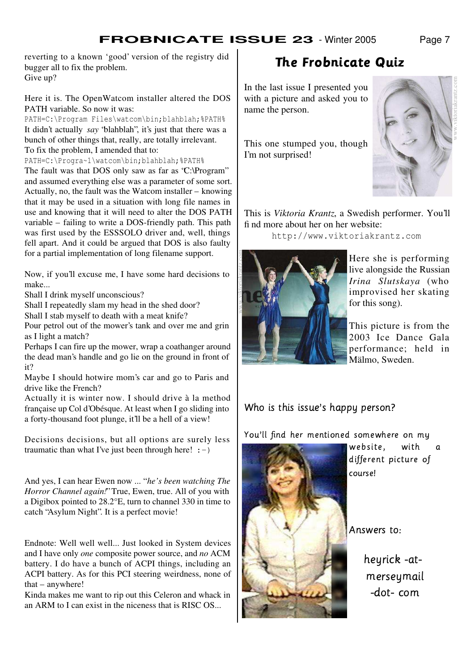reverting to a known 'good' version of the registry did bugger all to fix the problem. Give up?

Here it is. The OpenWatcom installer altered the DOS PATH variable. So now it was:

PATH=C:\Program Files\watcom\bin;blahblah;%PATH% It didn't actually *say* "blahblah", it's just that there was a bunch of other things that, really, are totally irrelevant. To fix the problem, I amended that to:

PATH=C:\Progra~1\watcom\bin;blahblah;%PATH% The fault was that DOS only saw as far as "C:\Program" and assumed everything else was a parameter of some sort. Actually, no, the fault was the Watcom installer – knowing that it may be used in a situation with long file names in use and knowing that it will need to alter the DOS PATH variable – failing to write a DOS-friendly path. This path was first used by the ESSSOLO driver and, well, things fell apart. And it could be argued that DOS is also faulty for a partial implementation of long filename support.

Now, if you'll excuse me, I have some hard decisions to make...

Shall I drink myself unconscious?

Shall I repeatedly slam my head in the shed door?

Shall I stab myself to death with a meat knife?

Pour petrol out of the mower's tank and over me and grin as I light a match?

Perhaps I can fire up the mower, wrap a coathanger around the dead man's handle and go lie on the ground in front of it?

Maybe I should hotwire mom's car and go to Paris and drive like the French?

Actually it is winter now. I should drive à la method française up Col d'Obésque. At least when I go sliding into a forty-thousand foot plunge, it'll be a hell of a view!

Decisions decisions, but all options are surely less traumatic than what I've just been through here!  $:-)$ 

And yes, I can hear Ewen now ... " *he's been watching The Horror Channel again!*" True, Ewen, true. All of you with a Digibox pointed to 28.2°E, turn to channel 330 in time to catch "Asylum Night". It is a perfect movie!

Endnote: Well well well... Just looked in System devices and I have only *one* composite power source, and *no* ACM battery. I do have a bunch of ACPI things, including an ACPI battery. As for this PCI steering weirdness, none of that – anywhere!

Kinda makes me want to rip out this Celeron and whack in an ARM to I can exist in the niceness that is RISC OS...

### -

In the last issue I presented you with a picture and asked you to name the person.

This one stumped you, though I'm not surprised!



This is *Viktoria Krantz*, a Swedish performer. You'll find more about her on her website:

http://www.viktoriakrantz.com



Here she is performing live alongside the Russian *Irina Slutskaya* (who improvised her skating for this song).

This picture is from the 2003 Ice Dance Gala performance; held in Mälmo, Sweden.

### Who is this issue's happy person?

 $\blacksquare$ 



website. with a J-Tfgf;MdNhM`H9RjikTalbRmA NhMn?of course!

Answers to:

heyrick -atmerseymail -dot-com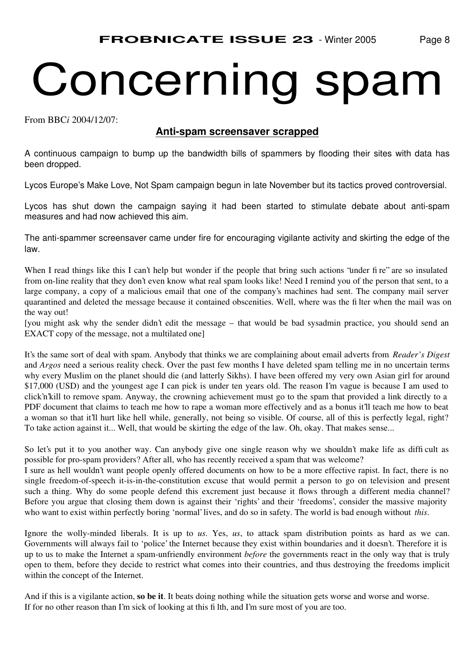## Concerning spam

From BBC*i* 2004/12/07:

### **Anti-spam screensaver scrapped**

A continuous campaign to bump up the bandwidth bills of spammers by flooding their sites with data has been dropped.

Lycos Europe's Make Love, Not Spam campaign begun in late November but its tactics proved controversial.

Lycos has shut down the campaign saying it had been started to stimulate debate about anti-spam measures and had now achieved this aim.

The anti-spammer screensaver came under fire for encouraging vigilante activity and skirting the edge of the law.

When I read things like this I can't help but wonder if the people that bring such actions 'under fire'' are so insulated from on-line reality that they don't even know what real spam looks like! Need I remind you of the person that sent, to a large company, a copy of a malicious email that one of the company's machines had sent. The company mail server quarantined and deleted the message because it contained obscenities. Well, where was the filter when the mail was on the way out!

[you might ask why the sender didn't edit the message – that would be bad sysadmin practice, you should send an EXACT copy of the message, not a multilated one]

It's the same sort of deal with spam. Anybody that thinks we are complaining about email adverts from *Reader's Digest* and *Argos* need a serious reality check. Over the past few months I have deleted spam telling me in no uncertain terms why every Muslim on the planet should die (and latterly Sikhs). I have been offered my very own Asian girl for around \$17,000 (USD) and the youngest age I can pick is under ten years old. The reason I'm vague is because I am used to click'n'kill to remove spam. Anyway, the crowning achievement must go to the spam that provided a link directly to a PDF document that claims to teach me how to rape a woman more effectively and as a bonus it'll teach me how to beat a woman so that it'll hurt like hell while, generally, not being so visible. Of course, all of this is perfectly legal, right? To take action against it... Well, that would be skirting the edge of the law. Oh, okay. That makes sense...

So let's put it to you another way. Can anybody give one single reason why we shouldn't make life as difficult as possible for pro-spam providers? After all, who has recently received a spam that was welcome?

I sure as hell wouldn't want people openly offered documents on how to be a more effective rapist. In fact, there is no single freedom-of-speech it-is-in-the-constitution excuse that would permit a person to go on television and present such a thing. Why do some people defend this excrement just because it flows through a different media channel? Before you argue that closing them down is against their 'rights' and their 'freedoms', consider the massive majority who want to exist within perfectly boring 'normal' lives, and do so in safety. The world is bad enough without *this*.

Ignore the wolly-minded liberals. It is up to *us*. Yes, *us*, to attack spam distribution points as hard as we can. Governments will always fail to 'police' the Internet because they exist within boundaries and it doesn't. Therefore it is up to us to make the Internet a spam-unfriendly environment *before* the governments react in the only way that is truly open to them, before they decide to restrict what comes into their countries, and thus destroying the freedoms implicit within the concept of the Internet.

And if this is a vigilante action, **so be it**. It beats doing nothing while the situation gets worse and worse and worse. If for no other reason than I'm sick of looking at this filth, and I'm sure most of you are too.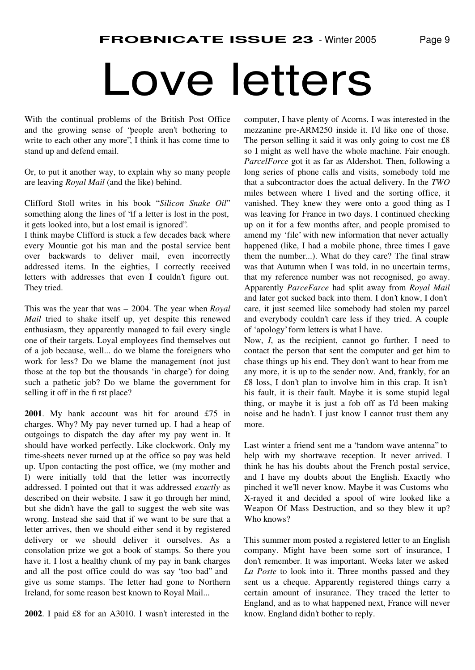### Love letters

With the continual problems of the British Post Office and the growing sense of "people aren't bothering to write to each other any more", I think it has come time to stand up and defend email.

Or, to put it another way, to explain why so many people are leaving *Royal Mail* (and the like) behind.

Clifford Stoll writes in his book "Silicon Snake Oil" something along the lines of "if a letter is lost in the post, it gets looked into, but a lost email is ignored".

I think maybe Clifford is stuck a few decades back where every Mountie got his man and the postal service bent over backwards to deliver mail, even incorrectly addressed items. In the eighties, I correctly received letters with addresses that even **I** couldn't figure out. They tried.

This was the year that was – 2004. The year when *Royal Mail* tried to shake itself up, yet despite this renewed enthusiasm, they apparently managed to fail every single one of their targets. Loyal employees find themselves out of a job because, well... do we blame the foreigners who work for less? Do we blame the management (not just those at the top but the thousands 'in charge') for doing such a pathetic job? Do we blame the government for selling it off in the first place?

**2001**. My bank account was hit for around £75 in charges. Why? My pay never turned up. I had a heap of outgoings to dispatch the day after my pay went in. It should have worked perfectly. Like clockwork. Only my time-sheets never turned up at the office so pay was held up. Upon contacting the post office, we (my mother and I) were initially told that the letter was incorrectly addressed. I pointed out that it was addressed *exactly* as described on their website. I saw it go through her mind, but she didn't have the gall to suggest the web site was wrong. Instead she said that if we want to be sure that a letter arrives, then we should either send it by registered delivery or we should deliver it ourselves. As a consolation prize we got a book of stamps. So there you have it. I lost a healthy chunk of my pay in bank charges and all the post office could do was say "too bad" and give us some stamps. The letter had gone to Northern Ireland, for some reason best known to Royal Mail...

**2002**. I paid £8 for an A3010. I wasn't interested in the

computer, I have plenty of Acorns. I was interested in the mezzanine pre-ARM250 inside it. I'd like one of those. The person selling it said it was only going to cost me £8 so I might as well have the whole machine. Fair enough. *ParcelForce* got it as far as Aldershot. Then, following a long series of phone calls and visits, somebody told me that a subcontractor does the actual delivery. In the *TWO* miles between where I lived and the sorting office, it vanished. They knew they were onto a good thing as I was leaving for France in two days. I continued checking up on it for a few months after, and people promised to amend my 'file' with new information that never actually happened (like, I had a mobile phone, three times I gave them the number...). What do they care? The final straw was that Autumn when I was told, in no uncertain terms, that my reference number was not recognised, go away. Apparently *ParceFarce* had split away from *Royal Mail* and later got sucked back into them. I don't know, I don't care, it just seemed like somebody had stolen my parcel and everybody couldn't care less if they tried. A couple of 'apology' form letters is what I have.

Now, *I*, as the recipient, cannot go further. I need to contact the person that sent the computer and get him to chase things up his end. They don't want to hear from me any more, it is up to the sender now. And, frankly, for an £8 loss, I don't plan to involve him in this crap. It isn't his fault, it is their fault. Maybe it is some stupid legal thing, or maybe it is just a fob off as I'd been making noise and he hadn't. I just know I cannot trust them any more.

Last winter a friend sent me a "random wave antenna" to help with my shortwave reception. It never arrived. I think he has his doubts about the French postal service, and I have my doubts about the English. Exactly who pinched it we'll never know. Maybe it was Customs who X-rayed it and decided a spool of wire looked like a Weapon Of Mass Destruction, and so they blew it up? Who knows?

This summer mom posted a registered letter to an English company. Might have been some sort of insurance, I don't remember. It was important. Weeks later we asked *La Poste* to look into it. Three months passed and they sent us a cheque. Apparently registered things carry a certain amount of insurance. They traced the letter to England, and as to what happened next, France will never know. England didn't bother to reply.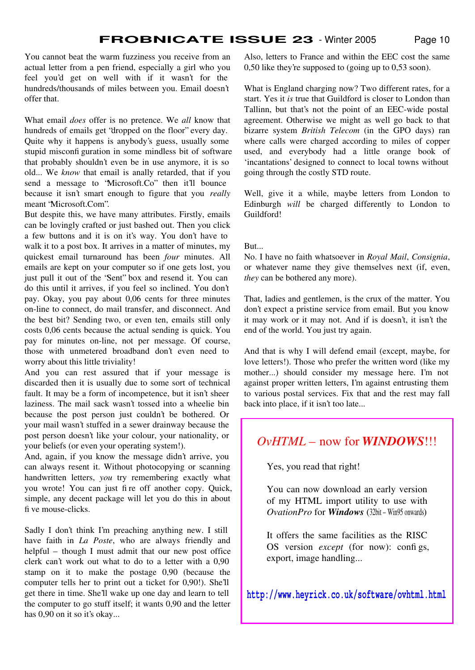You cannot beat the warm fuzziness you receive from an actual letter from a pen friend, especially a girl who you feel you'd get on well with if it wasn't for the hundreds/thousands of miles between you. Email doesn't offer that.

What email *does* offer is no pretence. We *all* know that hundreds of emails get "dropped on the floor" every day. Quite why it happens is anybody's guess, usually some stupid misconfiguration in some mindless bit of software that probably shouldn't even be in use anymore, it is so old... We *know* that email is anally retarded, that if you send a message to "Microsoft.Co" then it'll bounce because it isn't smart enough to figure that you *really* meant "Microsoft.Com".

But despite this, we have many attributes. Firstly, emails can be lovingly crafted or just bashed out. Then you click a few buttons and it is on it's way. You don't have to walk it to a post box. It arrives in a matter of minutes, my quickest email turnaround has been *four* minutes. All emails are kept on your computer so if one gets lost, you just pull it out of the "Sent" box and resend it. You can do this until it arrives, if you feel so inclined. You don't pay. Okay, you pay about 0,06 cents for three minutes on-line to connect, do mail transfer, and disconnect. And the best bit? Sending two, or even ten, emails still only costs 0,06 cents because the actual sending is quick. You pay for minutes on-line, not per message. Of course, those with unmetered broadband don't even need to worry about this little triviality!

And you can rest assured that if your message is discarded then it is usually due to some sort of technical fault. It may be a form of incompetence, but it isn't sheer laziness. The mail sack wasn't tossed into a wheelie bin because the post person just couldn't be bothered. Or your mail wasn't stuffed in a sewer drainway because the post person doesn't like your colour, your nationality, or your beliefs (or even your operating system!).

And, again, if you know the message didn't arrive, you can always resent it. Without photocopying or scanning handwritten letters, *you* try remembering exactly what you wrote! You can just fire off another copy. Quick, simple, any decent package will let you do this in about five mouse-clicks.

Sadly I don't think I'm preaching anything new. I still have faith in *La Poste*, who are always friendly and helpful – though I must admit that our new post office clerk can't work out what to do to a letter with a 0,90 stamp on it to make the postage 0,90 (because the computer tells her to print out a ticket for 0,90!). She'll get there in time. She'll wake up one day and learn to tell the computer to go stuff itself; it wants 0,90 and the letter has 0,90 on it so it's okay...

Also, letters to France and within the EEC cost the same 0,50 like they're supposed to (going up to 0,53 soon).

What is England charging now? Two different rates, for a start. Yes it *is* true that Guildford is closer to London than Tallinn, but that's not the point of an EEC-wide postal agreement. Otherwise we might as well go back to that bizarre system *British Telecom* (in the GPO days) ran where calls were charged according to miles of copper used, and everybody had a little orange book of 'incantations' designed to connect to local towns without going through the costly STD route.

Well, give it a while, maybe letters from London to Edinburgh *will* be charged differently to London to Guildford!

#### But...

No. I have no faith whatsoever in *Royal Mail*, *Consignia*, or whatever name they give themselves next (if, even, *they* can be bothered any more).

That, ladies and gentlemen, is the crux of the matter. You don't expect a pristine service from email. But you know it may work or it may not. And if is doesn't, it isn't the end of the world. You just try again.

And that is why I will defend email (except, maybe, for love letters!). Those who prefer the written word (like my mother...) should consider my message here. I'm not against proper written letters, I'm against entrusting them to various postal services. Fix that and the rest may fall back into place, if it isn't too late...

### *OvHTML* – now for *WINDOWS*!!!

Yes, you read that right!

You can now download an early version of my HTML import utility to use with *OvationPro* for *Windows* (32bit – Win95 onwards)

It offers the same facilities as the RISC OS version *except* (for now): configs, export, image handling...

**http://www.heyrick.co.uk/software/ovhtml.html**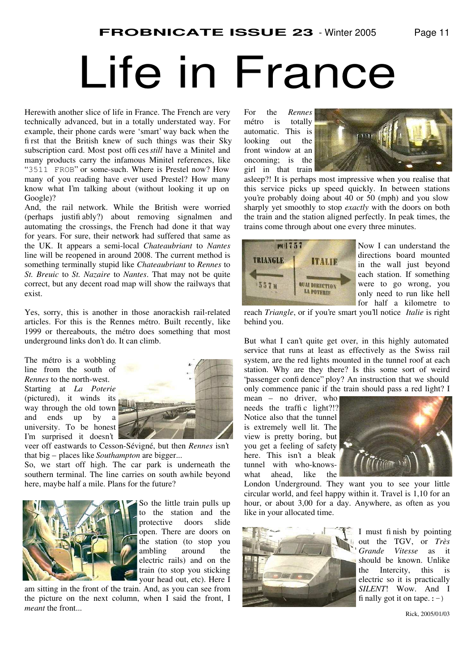### Life in France

Herewith another slice of life in France. The French are very technically advanced, but in a totally understated way. For example, their phone cards were 'smart' way back when the first that the British knew of such things was their Sky subscription card. Most post offices *still* have a Minitel and many products carry the infamous Minitel references, like " 3511 FROB" or some-such. Where is Prestel now? How many of you reading have ever used Prestel? How many know what I'm talking about (without looking it up on Google)?

And, the rail network. While the British were worried (perhaps justifiably?) about removing signalmen and automating the crossings, the French had done it that way for years. For sure, their network had suffered that same as the UK. It appears a semi-local *Chateaubriant* to *Nantes* line will be reopened in around 2008. The current method is something terminally stupid like *Chateaubriant* to *Rennes* to *St. Breuic* to *St. Nazaire* to *Nantes*. That may not be quite correct, but any decent road map will show the railways that exist.

Yes, sorry, this is another in those anorackish rail-related articles. For this is the Rennes métro. Built recently, like 1999 or thereabouts, the métro does something that most underground links don't do. It can climb.





veer off eastwards to Cesson-Sévigné, but then *Rennes* isn't that big – places like *Southampton* are bigger...

So, we start off high. The car park is underneath the southern terminal. The line carries on south awhile beyond here, maybe half a mile. Plans for the future?



So the little train pulls up to the station and the protective doors slide open. There are doors on the station (to stop you ambling around the electric rails) and on the train (to stop you sticking your head out, etc). Here I

am sitting in the front of the train. And, as you can see from the picture on the next column, when I said the front, I *meant* the front...

For the *Rennes* métro is totally automatic. This is looking out the front window at an oncoming; is the girl in that train



asleep?! It is perhaps most impressive when you realise that this service picks up speed quickly. In between stations you're probably doing about 40 or 50 (mph) and you slow sharply yet smoothly to stop *exactly* with the doors on both the train and the station aligned perfectly. In peak times, the trains come through about one every three minutes.



Now I can understand the directions board mounted in the wall just beyond each station. If something were to go wrong, you only need to run like hell for half a kilometre to

reach *Triangle*, or if you're smart you'll notice *Italie* is right behind you.

But what I can't quite get over, in this highly automated service that runs at least as effectively as the Swiss rail system, are the red lights mounted in the tunnel roof at each station. Why are they there? Is this some sort of weird 'passenger confidence'' ploy? An instruction that we should only commence panic if the train should pass a red light? I

mean – no driver, who needs the traffic light?!? Notice also that the tunnel is extremely well lit. The view is pretty boring, but you get a feeling of safety here. This isn't a bleak tunnel with who-knowswhat ahead, like the



London Underground. They want you to see your little circular world, and feel happy within it. Travel is 1,10 for an hour, or about 3,00 for a day. Anywhere, as often as you like in your allocated time.



I must finish by pointing out the TGV, or *Très Grande Vitesse* as it should be known. Unlike the Intercity, this is electric so it is practically *SILENT*! Wow. And I finally got it on tape.  $:-)$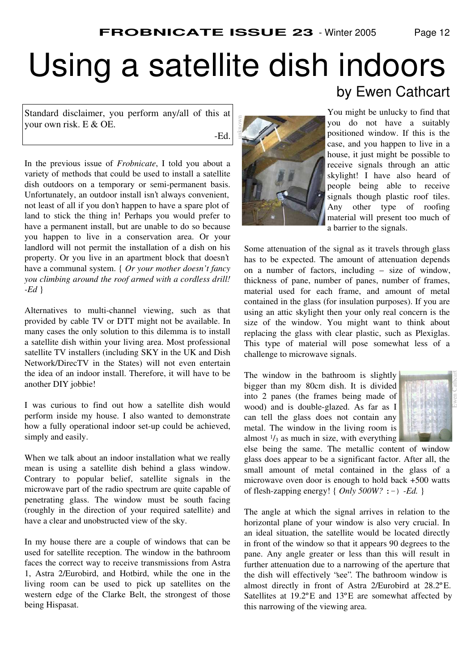### Using a satellite dish indoors

unknown

Standard disclaimer, you perform any/all of this at your own risk. E & OE.

-Ed.

In the previous issue of *Frobnicate*, I told you about a variety of methods that could be used to install a satellite dish outdoors on a temporary or semi-permanent basis. Unfortunately, an outdoor install isn't always convenient, not least of all if you don't happen to have a spare plot of land to stick the thing in! Perhaps you would prefer to have a permanent install, but are unable to do so because you happen to live in a conservation area. Or your landlord will not permit the installation of a dish on his property. Or you live in an apartment block that doesn't have a communal system. { *Or your mother doesn't fancy you climbing around the roof armed with a cordless drill! -Ed* }

Alternatives to multi-channel viewing, such as that provided by cable TV or DTT might not be available. In many cases the only solution to this dilemma is to install a satellite dish within your living area. Most professional satellite TV installers (including SKY in the UK and Dish Network/DirecTV in the States) will not even entertain the idea of an indoor install. Therefore, it will have to be another DIY jobbie!

I was curious to find out how a satellite dish would perform inside my house. I also wanted to demonstrate how a fully operational indoor set-up could be achieved, simply and easily.

When we talk about an indoor installation what we really mean is using a satellite dish behind a glass window. Contrary to popular belief, satellite signals in the microwave part of the radio spectrum are quite capable of penetrating glass. The window must be south facing (roughly in the direction of your required satellite) and have a clear and unobstructed view of the sky.

In my house there are a couple of windows that can be used for satellite reception. The window in the bathroom faces the correct way to receive transmissions from Astra 1, Astra 2/Eurobird, and Hotbird, while the one in the living room can be used to pick up satellites on the western edge of the Clarke Belt, the strongest of those being Hispasat.



### by Ewen Cathcart

You might be unlucky to find that you do not have a suitably positioned window. If this is the case, and you happen to live in a house, it just might be possible to receive signals through an attic skylight! I have also heard of people being able to receive signals though plastic roof tiles. Any other type of roofing material will present too much of a barrier to the signals.

Some attenuation of the signal as it travels through glass has to be expected. The amount of attenuation depends on a number of factors, including – size of window, thickness of pane, number of panes, number of frames, material used for each frame, and amount of metal contained in the glass (for insulation purposes). If you are using an attic skylight then your only real concern is the size of the window. You might want to think about replacing the glass with clear plastic, such as Plexiglas. This type of material will pose somewhat less of a challenge to microwave signals.

The window in the bathroom is slightly bigger than my 80cm dish. It is divided into 2 panes (the frames being made of wood) and is double-glazed. As far as I can tell the glass does not contain any metal. The window in the living room is almost  $\frac{1}{3}$  as much in size, with everything



else being the same. The metallic content of window glass does appear to be a significant factor. After all, the small amount of metal contained in the glass of a microwave oven door is enough to hold back +500 watts of flesh-zapping energy! { *Only 500W?* :-) *-Ed.* }

The angle at which the signal arrives in relation to the horizontal plane of your window is also very crucial. In an ideal situation, the satellite would be located directly in front of the window so that it appears 90 degrees to the pane. Any angle greater or less than this will result in further attenuation due to a narrowing of the aperture that the dish will effectively "see". The bathroom window is almost directly in front of Astra 2/Eurobird at 28.2ºE. Satellites at 19.2ºE and 13ºE are somewhat affected by this narrowing of the viewing area.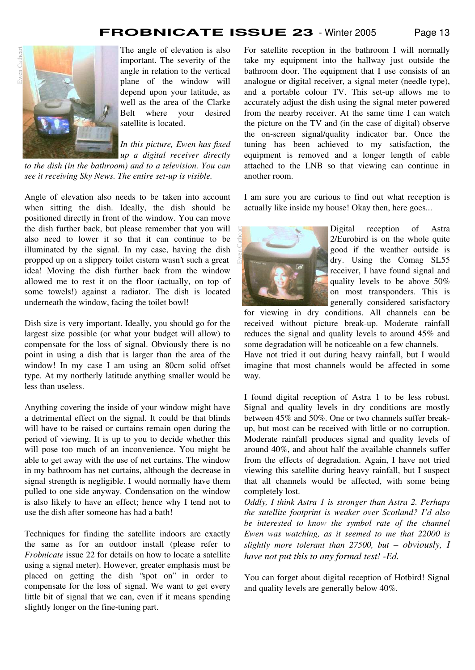

The angle of elevation is also important. The severity of the angle in relation to the vertical plane of the window will depend upon your latitude, as well as the area of the Clarke Belt where your desired satellite is located.

*In this picture, Ewen has fixed up a digital receiver directly to the dish (in the bathroom) and to a television. You can*

*see it receiving Sky News. The entire set-up is visible.*

Angle of elevation also needs to be taken into account when sitting the dish. Ideally, the dish should be positioned directly in front of the window. You can move the dish further back, but please remember that you will also need to lower it so that it can continue to be illuminated by the signal. In my case, having the dish propped up on a slippery toilet cistern wasn't such a great idea! Moving the dish further back from the window allowed me to rest it on the floor (actually, on top of some towels!) against a radiator. The dish is located underneath the window, facing the toilet bowl!

Dish size is very important. Ideally, you should go for the largest size possible (or what your budget will allow) to compensate for the loss of signal. Obviously there is no point in using a dish that is larger than the area of the window! In my case I am using an 80cm solid offset type. At my northerly latitude anything smaller would be less than useless.

Anything covering the inside of your window might have a detrimental effect on the signal. It could be that blinds will have to be raised or curtains remain open during the period of viewing. It is up to you to decide whether this will pose too much of an inconvenience. You might be able to get away with the use of net curtains. The window in my bathroom has net curtains, although the decrease in signal strength is negligible. I would normally have them pulled to one side anyway. Condensation on the window is also likely to have an effect; hence why I tend not to use the dish after someone has had a bath!

Techniques for finding the satellite indoors are exactly the same as for an outdoor install (please refer to *Frobnicate* issue 22 for details on how to locate a satellite using a signal meter). However, greater emphasis must be placed on getting the dish "spot on" in order to compensate for the loss of signal. We want to get every little bit of signal that we can, even if it means spending slightly longer on the fine-tuning part.

For satellite reception in the bathroom I will normally take my equipment into the hallway just outside the bathroom door. The equipment that I use consists of an analogue or digital receiver, a signal meter (needle type), and a portable colour TV. This set-up allows me to accurately adjust the dish using the signal meter powered from the nearby receiver. At the same time I can watch the picture on the TV and (in the case of digital) observe the on-screen signal/quality indicator bar. Once the tuning has been achieved to my satisfaction, the equipment is removed and a longer length of cable attached to the LNB so that viewing can continue in another room.

I am sure you are curious to find out what reception is actually like inside my house! Okay then, here goes...



Digital reception of Astra 2/Eurobird is on the whole quite good if the weather outside is dry. Using the Comag SL55 receiver, I have found signal and quality levels to be above 50% on most transponders. This is generally considered satisfactory

for viewing in dry conditions. All channels can be received without picture break-up. Moderate rainfall reduces the signal and quality levels to around 45% and some degradation will be noticeable on a few channels.

Have not tried it out during heavy rainfall, but I would imagine that most channels would be affected in some way.

I found digital reception of Astra 1 to be less robust. Signal and quality levels in dry conditions are mostly between 45% and 50%. One or two channels suffer breakup, but most can be received with little or no corruption. Moderate rainfall produces signal and quality levels of around 40%, and about half the available channels suffer from the effects of degradation. Again, I have not tried viewing this satellite during heavy rainfall, but I suspect that all channels would be affected, with some being completely lost.

*Oddly, I think Astra 1 is stronger than Astra 2. Perhaps the satellite footprint is weaker over Scotland? I'd also be interested to know the symbol rate of the channel Ewen was watching, as it seemed to me that 22000 is slightly more tolerant than 27500, but* – *obviously, I have not put this to any formal test! -Ed.*

You can forget about digital reception of Hotbird! Signal and quality levels are generally below 40%.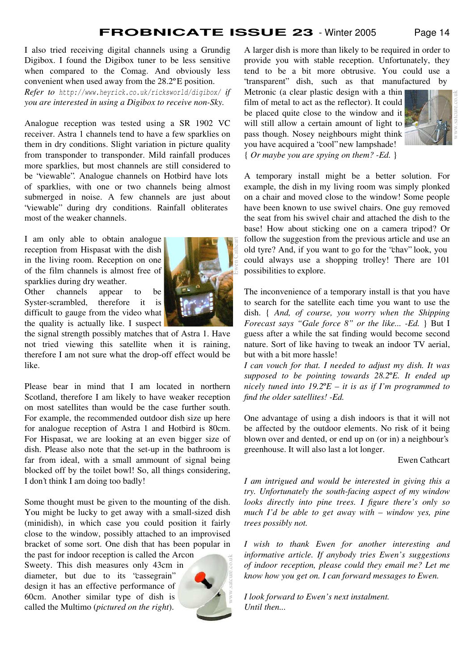I also tried receiving digital channels using a Grundig Digibox. I found the Digibox tuner to be less sensitive when compared to the Comag. And obviously less convenient when used away from the 28.2ºE position. *Refer to http://www.heyrick.co.uk/ricksworld/digibox/ if you are interested in using a Digibox to receive non-Sky.*

Analogue reception was tested using a SR 1902 VC receiver. Astra 1 channels tend to have a few sparklies on them in dry conditions. Slight variation in picture quality from transponder to transponder. Mild rainfall produces more sparklies, but most channels are still considered to be "viewable". Analogue channels on Hotbird have lots of sparklies, with one or two channels being almost submerged in noise. A few channels are just about "viewable" during dry conditions. Rainfall obliterates most of the weaker channels.

I am only able to obtain analogue reception from Hispasat with the dish in the living room. Reception on one of the film channels is almost free of sparklies during dry weather. Other channels appear to be

Syster-scrambled, therefore it is difficult to gauge from the video what the quality is actually like. I suspect



the signal strength possibly matches that of Astra 1. Have not tried viewing this satellite when it is raining, therefore I am not sure what the drop-off effect would be like.

Please bear in mind that I am located in northern Scotland, therefore I am likely to have weaker reception on most satellites than would be the case further south. For example, the recommended outdoor dish size up here for analogue reception of Astra 1 and Hotbird is 80cm. For Hispasat, we are looking at an even bigger size of dish. Please also note that the set-up in the bathroom is far from ideal, with a small ammount of signal being blocked off by the toilet bowl! So, all things considering, I don't think I am doing too badly!

Some thought must be given to the mounting of the dish. You might be lucky to get away with a small-sized dish (minidish), in which case you could position it fairly close to the window, possibly attached to an improvised bracket of some sort. One dish that has been popular in

the past for indoor reception is called the Arcon Sweety. This dish measures only 43cm in diameter, but due to its "cassegrain" design it has an effective performance of 60cm. Another similar type of dish is called the Multimo (*pictured on the right*).



A larger dish is more than likely to be required in order to provide you with stable reception. Unfortunately, they tend to be a bit more obtrusive. You could use a "transparent" dish, such as that manufactured by

Metronic (a clear plastic design with a thin film of metal to act as the reflector). It could be placed quite close to the window and it will still allow a certain amount of light to pass though. Nosey neighbours might think you have acquired a "cool" new lampshade! { *Or maybe you are spying on them? -Ed.* }



A temporary install might be a better solution. For example, the dish in my living room was simply plonked on a chair and moved close to the window! Some people have been known to use swivel chairs. One guy removed the seat from his swivel chair and attached the dish to the base! How about sticking one on a camera tripod? Or follow the suggestion from the previous article and use an old tyre? And, if you want to go for the "chav" look, you could always use a shopping trolley! There are 101 possibilities to explore.

The inconvenience of a temporary install is that you have to search for the satellite each time you want to use the dish. { *And, of course, you worry when the Shipping Forecast says "Gale force 8" or the like... -Ed.* } But I guess after a while the sat finding would become second nature. Sort of like having to tweak an indoor TV aerial, but with a bit more hassle!

*I can vouch for that. I needed to adjust my dish. It was supposed to be pointing towards 28.2*º*E. It ended up nicely tuned into 19.2*º*E – it is as if I'm programmed to find the older satellites! -Ed.*

One advantage of using a dish indoors is that it will not be affected by the outdoor elements. No risk of it being blown over and dented, or end up on (or in) a neighbour's greenhouse. It will also last a lot longer.

#### Ewen Cathcart

*I am intrigued and would be interested in giving this a try. Unfortunately the south-facing aspect of my window looks directly into pine trees. I figure there's only so much I'd be able to get away with – window yes, pine trees possibly not.*

*I wish to thank Ewen for another interesting and informative article. If anybody tries Ewen's suggestions of indoor reception, please could they email me? Let me know how you get on. I can forward messages to Ewen.*

*I look forward to Ewen's next instalment. Until then...*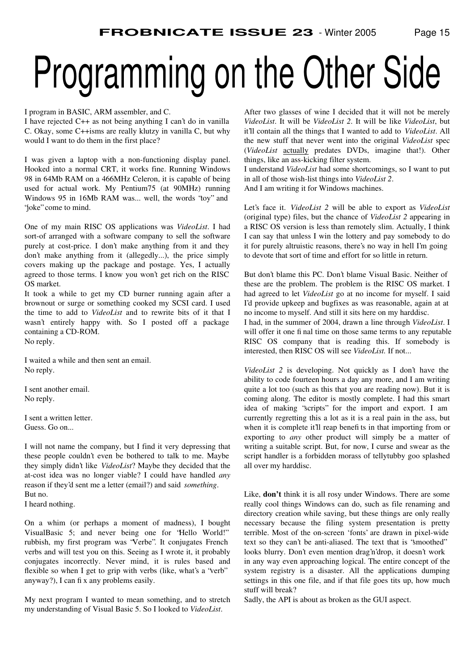## Programming on the Other Side

#### I program in BASIC, ARM assembler, and C.

I have rejected C++ as not being anything I can't do in vanilla C. Okay, some C++isms are really klutzy in vanilla C, but why would I want to do them in the first place?

I was given a laptop with a non-functioning display panel. Hooked into a normal CRT, it works fine. Running Windows 98 in 64Mb RAM on a 466MHz Celeron, it is capable of being used for actual work. My Pentium75 (at 90MHz) running Windows 95 in 16Mb RAM was... well, the words "toy" and "joke" come to mind.

One of my main RISC OS applications was *VideoList*. I had sort-of arranged with a software company to sell the software purely at cost-price. I don't make anything from it and they don't make anything from it (allegedly...), the price simply covers making up the package and postage. Yes, I actually agreed to those terms. I know you won't get rich on the RISC OS market.

It took a while to get my CD burner running again after a brownout or surge or something cooked my SCSI card. I used the time to add to *VideoList* and to rewrite bits of it that I wasn't entirely happy with. So I posted off a package containing a CD-ROM. No reply.

I waited a while and then sent an email. No reply.

I sent another email. No reply.

I sent a written letter. Guess. Go on...

I will not name the company, but I find it very depressing that these people couldn't even be bothered to talk to me. Maybe they simply didn't like *VideoList*? Maybe they decided that the at-cost idea was no longer viable? I could have handled *any* reason if they'd sent me a letter (email?) and said *something*. But no.

I heard nothing.

On a whim (or perhaps a moment of madness), I bought VisualBasic 5; and never being one for "Hello World!" rubbish, my first program was "Verbe". It conjugates French verbs and will test you on this. Seeing as I wrote it, it probably conjugates incorrectly. Never mind, it is rules based and flexible so when I get to grip with verbs (like, what's a 'verb' anyway?), I can fix any problems easily.

My next program I wanted to mean something, and to stretch my understanding of Visual Basic 5. So I looked to *VideoList*.

After two glasses of wine I decided that it will not be merely *VideoList*. It will be *VideoList 2*. It will be like *VideoList*, but it'll contain all the things that I wanted to add to *VideoList*. All the new stuff that never went into the original *VideoList* spec (*VideoList* actually predates DVDs, imagine that!). Other things, like an ass-kicking filter system.

I understand *VideoList* had some shortcomings, so I want to put in all of those wish-list things into *VideoList 2*.

And I am writing it for Windows machines.

Let's face it. *VideoList 2* will be able to export as *VideoList* (original type) files, but the chance of *VideoList 2* appearing in a RISC OS version is less than remotely slim. Actually, I think I can say that unless I win the lottery and pay somebody to do it for purely altruistic reasons, there's no way in hell I'm going to devote that sort of time and effort for so little in return.

But don't blame this PC. Don't blame Visual Basic. Neither of these are the problem. The problem is the RISC OS market. I had agreed to let *VideoList* go at no income for myself. I said I'd provide upkeep and bugfixes as was reasonable, again at at no income to myself. And still it sits here on my harddisc.

I had, in the summer of 2004, drawn a line through *VideoList*. I will offer it one final time on those same terms to any reputable RISC OS company that is reading this. If somebody is interested, then RISC OS will see *VideoList.* If not...

*VideoList 2* is developing. Not quickly as I don't have the ability to code fourteen hours a day any more, and I am writing quite a lot too (such as this that you are reading now). But it is coming along. The editor is mostly complete. I had this smart idea of making "scripts" for the import and export. I am currently regretting this a lot as it is a real pain in the ass, but when it is complete it'll reap benefits in that importing from or exporting to *any* other product will simply be a matter of writing a suitable script. But, for now, I curse and swear as the script handler is a forbidden morass of tellytubby goo splashed all over my harddisc.

Like, **don't** think it is all rosy under Windows. There are some really cool things Windows can do, such as file renaming and directory creation while saving, but these things are only really necessary because the filing system presentation is pretty terrible. Most of the on-screen 'fonts' are drawn in pixel-wide text so they can't be anti-aliased. The text that is "smoothed" looks blurry. Don't even mention drag'n'drop, it doesn't work in any way even approaching logical. The entire concept of the system registry is a disaster. All the applications dumping settings in this one file, and if that file goes tits up, how much stuff will break?

Sadly, the API is about as broken as the GUI aspect.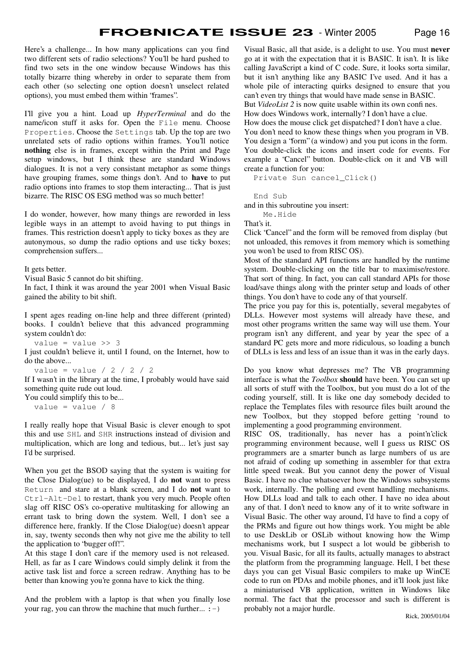Here's a challenge... In how many applications can you find two different sets of radio selections? You'll be hard pushed to find two sets in the one window because Windows has this totally bizarre thing whereby in order to separate them from each other (so selecting one option doesn't unselect related options), you must embed them within "frames".

I'll give you a hint. Load up *HyperTerminal* and do the name/icon stuff it asks for. Open the File menu. Choose Properties. Choose the Settings tab. Up the top are two unrelated sets of radio options within frames. You'll notice **nothing** else is in frames, except within the Print and Page setup windows, but I think these are standard Windows dialogues. It is not a very consistant metaphor as some things have grouping frames, some things don't. And to **have** to put radio options into frames to stop them interacting... That is just bizarre. The RISC OS ESG method was so much better!

I do wonder, however, how many things are reworded in less legible ways in an attempt to avoid having to put things in frames. This restriction doesn't apply to ticky boxes as they are autonymous, so dump the radio options and use ticky boxes; comprehension suffers...

It gets better.

Visual Basic 5 cannot do bit shifting.

In fact, I think it was around the year 2001 when Visual Basic gained the ability to bit shift.

I spent ages reading on-line help and three different (printed) books. I couldn't believe that this advanced programming system couldn't do:

value =  $value \gg 3$ 

I just couldn't believe it, until I found, on the Internet, how to do the above...

```
value = value / 2 / 2 / 2
```
If I wasn't in the library at the time, I probably would have said something quite rude out loud.

You could simplify this to be...

value =  $value / 8$ 

I really really hope that Visual Basic is clever enough to spot this and use SHL and SHR instructions instead of division and multiplication, which are long and tedious, but... let's just say I'd be surprised.

When you get the BSOD saying that the system is waiting for the Close Dialog(ue) to be displayed, I do **not** want to press Return and stare at a blank screen, and I do **not** want to Ctrl-Alt-Del to restart, thank you very much. People often slag off RISC OS's co-operative multitasking for allowing an errant task to bring down the system. Well, I don't see a difference here, frankly. If the Close Dialog(ue) doesn't appear in, say, twenty seconds then why not give me the ability to tell the application to "bugger off!".

At this stage I don't care if the memory used is not released. Hell, as far as I care Windows could simply delink it from the active task list and force a screen redraw. Anything has to be better than knowing you're gonna have to kick the thing.

And the problem with a laptop is that when you finally lose your rag, you can throw the machine that much further...  $:-)$ 

Visual Basic, all that aside, is a delight to use. You must **never** go at it with the expectation that it is BASIC. It isn't. It is like calling JavaScript a kind of C code. Sure, it looks sorta similar, but it isn't anything like any BASIC I've used. And it has a whole pile of interacting quirks designed to ensure that you can't even try things that would have made sense in BASIC. But *VideoList* 2 is now quite usable within its own confines. How does Windows work, internally? I don't have a clue. How does the mouse click get dispatched? I don't have a clue. You don't need to know these things when you program in VB. You design a "form" (a window) and you put icons in the form. You double-click the icons and insert code for events. For example a "Cancel" button. Double-click on it and VB will create a function for you:

Private Sun cancel\_Click()

End Sub

and in this subroutine you insert:

 Me.Hide That's it.

Click "Cancel" and the form will be removed from display (but not unloaded, this removes it from memory which is something you won't be used to from RISC OS).

Most of the standard API functions are handled by the runtime system. Double-clicking on the title bar to maximise/restore. That sort of thing. In fact, you can call standard APIs for those load/save things along with the printer setup and loads of other things. You don't have to code any of that yourself.

The price you pay for this is, potentially, several megabytes of DLLs. However most systems will already have these, and most other programs written the same way will use them. Your program isn't any different, and year by year the spec of a standard PC gets more and more ridiculous, so loading a bunch of DLLs is less and less of an issue than it was in the early days.

Do you know what depresses me? The VB programming interface is what the *Toolbox* **should** have been. You can set up all sorts of stuff with the Toolbox, but you must do a lot of the coding yourself, still. It is like one day somebody decided to replace the Templates files with resource files built around the new Toolbox, but they stopped before getting 'round to implementing a good programming environment.

RISC OS, traditionally, has never has a point'n'click programming environment because, well I guess us RISC OS programmers are a smarter bunch as large numbers of us are not afraid of coding up something in assembler for that extra little speed tweak. But you cannot deny the power of Visual Basic. I have no clue whatsoever how the Windows subsystems work, internally. The polling and event handling mechanisms. How DLLs load and talk to each other. I have no idea about any of that. I don't need to know any of it to write software in Visual Basic. The other way around, I'd have to find a copy of the PRMs and figure out how things work. You might be able to use DeskLib or OSLib without knowing how the Wimp mechanisms work, but I suspect a lot would be gibberish to you. Visual Basic, for all its faults, actually manages to abstract the platform from the programming language. Hell, I bet these days you can get Visual Basic compilers to make up WinCE code to run on PDAs and mobile phones, and it'll look just like a miniaturised VB application, written in Windows like normal. The fact that the processor and such is different is probably not a major hurdle.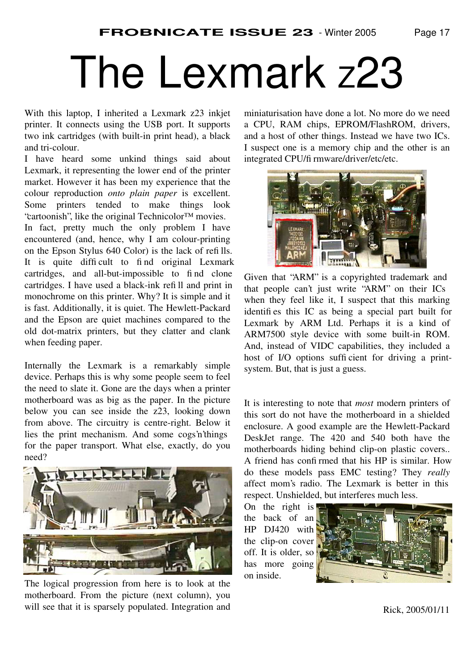### The Lexmark z23

With this laptop, I inherited a Lexmark z23 inkjet printer. It connects using the USB port. It supports two ink cartridges (with built-in print head), a black and tri-colour.

I have heard some unkind things said about Lexmark, it representing the lower end of the printer market. However it has been my experience that the colour reproduction *onto plain paper* is excellent. Some printers tended to make things look "cartoonish", like the original Technicolor™ movies.

In fact, pretty much the only problem I have encountered (and, hence, why I am colour-printing on the Epson Stylus 640 Color) is the lack of refills. It is quite difficult to find original Lexmark cartridges, and all-but-impossible to find clone cartridges. I have used a black-ink refill and print in monochrome on this printer. Why? It is simple and it is fast. Additionally, it is quiet. The Hewlett-Packard and the Epson are quiet machines compared to the old dot-matrix printers, but they clatter and clank when feeding paper.

Internally the Lexmark is a remarkably simple device. Perhaps this is why some people seem to feel the need to slate it. Gone are the days when a printer motherboard was as big as the paper. In the picture below you can see inside the z23, looking down from above. The circuitry is centre-right. Below it lies the print mechanism. And some cogs'n'things for the paper transport. What else, exactly, do you need?



The logical progression from here is to look at the motherboard. From the picture (next column), you will see that it is sparsely populated. Integration and

miniaturisation have done a lot. No more do we need a CPU, RAM chips, EPROM/FlashROM, drivers, and a host of other things. Instead we have two ICs. I suspect one is a memory chip and the other is an integrated CPU/fi rmware/driver/etc/etc.



Given that "ARM" is a copyrighted trademark and that people can't just write "ARM" on their ICs when they feel like it, I suspect that this marking identifies this IC as being a special part built for Lexmark by ARM Ltd. Perhaps it is a kind of ARM7500 style device with some built-in ROM. And, instead of VIDC capabilities, they included a host of I/O options sufficient for driving a printsystem. But, that is just a guess.

It is interesting to note that *most* modern printers of this sort do not have the motherboard in a shielded enclosure. A good example are the Hewlett-Packard DeskJet range. The 420 and 540 both have the motherboards hiding behind clip-on plastic covers.. A friend has confirmed that his HP is similar. How do these models pass EMC testing? They *really* affect mom's radio. The Lexmark is better in this respect. Unshielded, but interferes much less.

On the right is the back of an HP DJ420 with the clip-on cover off. It is older, so has more going on inside.

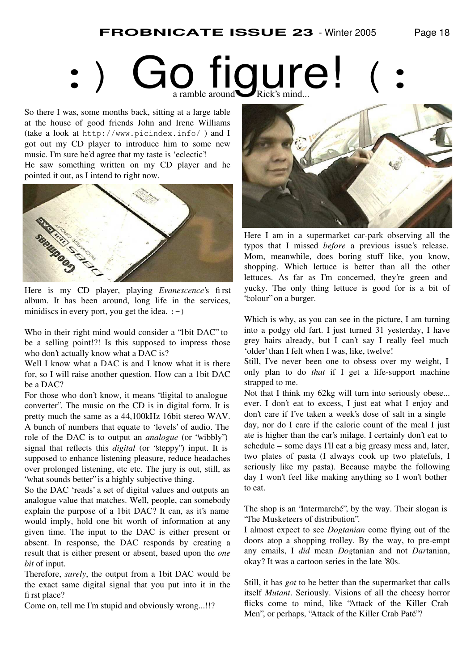# **Go figure!**

So there I was, some months back, sitting at a large table at the house of good friends John and Irene Williams (take a look at http://www.picindex.info/ ) and I got out my CD player to introduce him to some new music. I'm sure he'd agree that my taste is 'eclectic'!

He saw something written on my CD player and he pointed it out, as I intend to right now.



Here is my CD player, playing *Evanescence*'s first album. It has been around, long life in the services, minidiscs in every port, you get the idea.  $:-)$ 

Who in their right mind would consider a "1bit DAC" to be a selling point!?! Is this supposed to impress those who don't actually know what a DAC is?

Well I know what a DAC is and I know what it is there for, so I will raise another question. How can a 1bit DAC be a DAC?

For those who don't know, it means "digital to analogue converter". The music on the CD is in digital form. It is pretty much the same as a 44,100kHz 16bit stereo WAV. A bunch of numbers that equate to 'levels' of audio. The role of the DAC is to output an *analogue* (or "wibbly") signal that reflects this *digital* (or "steppy") input. It is supposed to enhance listening pleasure, reduce headaches over prolonged listening, etc etc. The jury is out, still, as "what sounds better" is a highly subjective thing.

So the DAC 'reads' a set of digital values and outputs an analogue value that matches. Well, people, can somebody explain the purpose of a 1bit DAC? It can, as it's name would imply, hold one bit worth of information at any given time. The input to the DAC is either present or absent. In response, the DAC responds by creating a result that is either present or absent, based upon the *one bit* of input.

Therefore, *surely*, the output from a 1bit DAC would be the exact same digital signal that you put into it in the first place?

Come on, tell me I'm stupid and obviously wrong...!!?



Here I am in a supermarket car-park observing all the typos that I missed *before* a previous issue's release. Mom, meanwhile, does boring stuff like, you know, shopping. Which lettuce is better than all the other lettuces. As far as I'm concerned, they're green and yucky. The only thing lettuce is good for is a bit of "colour" on a burger.

Which is why, as you can see in the picture, I am turning into a podgy old fart. I just turned 31 yesterday, I have grey hairs already, but I can't say I really feel much 'older' than I felt when I was, like, twelve!

Still, I've never been one to obsess over my weight, I only plan to do *that* if I get a life-support machine strapped to me.

Not that I think my 62kg will turn into seriously obese... ever. I don't eat to excess, I just eat what I enjoy and don't care if I've taken a week's dose of salt in a single day, nor do I care if the calorie count of the meal I just ate is higher than the car's milage. I certainly don't eat to schedule – some days I'll eat a big greasy mess and, later, two plates of pasta (I always cook up two platefuls, I seriously like my pasta). Because maybe the following day I won't feel like making anything so I won't bother to eat.

The shop is an "Intermarché", by the way. Their slogan is "The Musketeers of distribution".

I almost expect to see *Dogtanian* come flying out of the doors atop a shopping trolley. By the way, to pre-empt any emails, I *did* mean *Dog*tanian and not *Dar*tanian, okay? It was a cartoon series in the late '80s.

Still, it has *got* to be better than the supermarket that calls itself *Mutant*. Seriously. Visions of all the cheesy horror flicks come to mind, like "Attack of the Killer Crab Men", or perhaps, "Attack of the Killer Crab Paté"?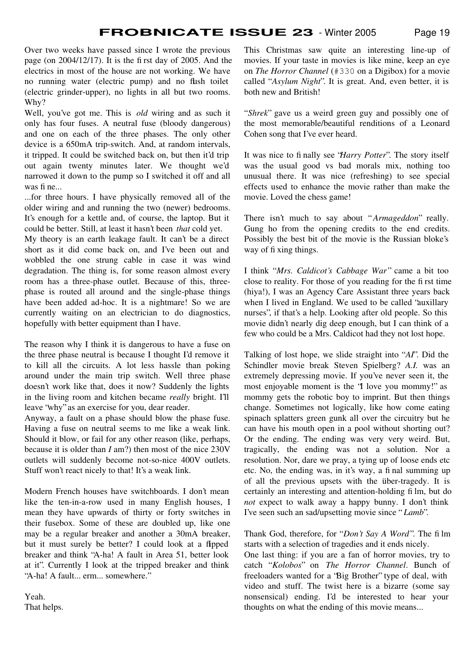Over two weeks have passed since I wrote the previous page (on 2004/12/17). It is the first day of 2005. And the electrics in most of the house are not working. We have no running water (electric pump) and no flush toilet (electric grinder-upper), no lights in all but two rooms. Why?

Well, you've got me. This is *old* wiring and as such it only has four fuses. A neutral fuse (bloody dangerous) and one on each of the three phases. The only other device is a 650mA trip-switch. And, at random intervals, it tripped. It could be switched back on, but then it'd trip out again twenty minutes later. We thought we'd narrowed it down to the pump so I switched it off and all was fine...

...for three hours. I have physically removed all of the older wiring and and running the two (newer) bedrooms. It's enough for a kettle and, of course, the laptop. But it could be better. Still, at least it hasn't been *that* cold yet.

My theory is an earth leakage fault. It can't be a direct short as it did come back on, and I've been out and wobbled the one strung cable in case it was wind degradation. The thing is, for some reason almost every room has a three-phase outlet. Because of this, threephase is routed all around and the single-phase things have been added ad-hoc. It is a nightmare! So we are currently waiting on an electrician to do diagnostics, hopefully with better equipment than I have.

The reason why I think it is dangerous to have a fuse on the three phase neutral is because I thought I'd remove it to kill all the circuits. A lot less hassle than poking around under the main trip switch. Well three phase doesn't work like that, does it now? Suddenly the lights in the living room and kitchen became *really* bright. I'll leave "why" as an exercise for you, dear reader.

Anyway, a fault on a phase should blow the phase fuse. Having a fuse on neutral seems to me like a weak link. Should it blow, or fail for any other reason (like, perhaps, because it is older than *I* am?) then most of the nice 230V outlets will suddenly become not-so-nice 400V outlets. Stuff won't react nicely to that! It's a weak link.

Modern French houses have switchboards. I don't mean like the ten-in-a-row used in many English houses, I mean they have upwards of thirty or forty switches in their fusebox. Some of these are doubled up, like one may be a regular breaker and another a 30mA breaker, but it must surely be better? I could look at a flpped breaker and think "A-ha! A fault in Area 51, better look at it". Currently I look at the tripped breaker and think "A-ha! A fault... erm... somewhere."

Yeah. That helps. This Christmas saw quite an interesting line-up of movies. If your taste in movies is like mine, keep an eye on *The Horror Channel* (#330 on a Digibox) for a movie called "*Asylum Night*". It is great. And, even better, it is both new and British!

"*Shrek*" gave us a weird green guy and possibly one of the most memorable/beautiful renditions of a Leonard Cohen song that I've ever heard.

It was nice to finally see "*Harry Potter*". The story itself was the usual good vs bad morals mix, nothing too unusual there. It was nice (refreshing) to see special effects used to enhance the movie rather than make the movie. Loved the chess game!

There isn't much to say about "*Armageddon*" really. Gung ho from the opening credits to the end credits. Possibly the best bit of the movie is the Russian bloke's way of fixing things.

I think " *Mrs. Caldicot's Cabbage War*" came a bit too close to reality. For those of you reading for the first time (hiya!), I was an Agency Care Assistant three years back when I lived in England. We used to be called "auxillary nurses", if that's a help. Looking after old people. So this movie didn't nearly dig deep enough, but I can think of a few who could be a Mrs. Caldicot had they not lost hope.

Talking of lost hope, we slide straight into "*AI*". Did the Schindler movie break Steven Spielberg? *A.I.* was an extremely depressing movie. If you've never seen it, the most enjoyable moment is the "I love you mommy!" as mommy gets the robotic boy to imprint. But then things change. Sometimes not logically, like how come eating spinach splatters green gunk all over the circuitry but he can have his mouth open in a pool without shorting out? Or the ending. The ending was very very weird. But, tragically, the ending was not a solution. Nor a resolution. Nor, dare we pray, a tying up of loose ends etc etc. No, the ending was, in it's way, a final summing up of all the previous upsets with the über-tragedy. It is certainly an interesting and attention-holding film, but do *not* expect to walk away a happy bunny. I don't think I've seen such an sad/upsetting movie since " *Lamb*".

Thank God, therefore, for "*Don't Say A Word*". The film starts with a selection of tragedies and it ends nicely.

One last thing: if you are a fan of horror movies, try to catch " *Kolobos*" on *The Horror Channel*. Bunch of freeloaders wanted for a "Big Brother" type of deal, with video and stuff. The twist here is a bizarre (some say nonsensical) ending. I'd be interested to hear your thoughts on what the ending of this movie means...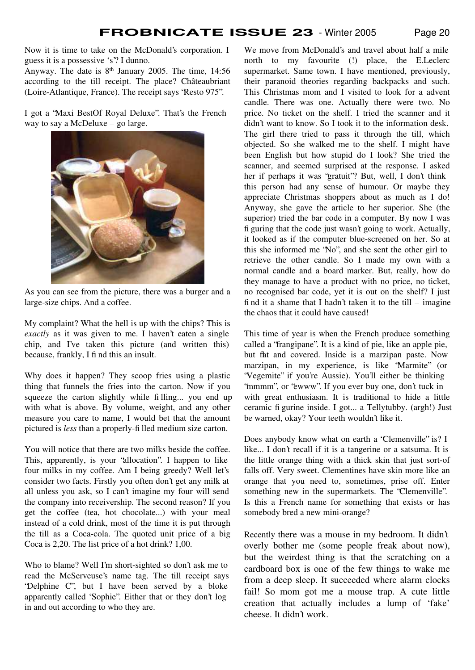Now it is time to take on the McDonald's corporation. I guess it is a possessive 's'? I dunno.

Anyway. The date is 8th January 2005. The time, 14:56 according to the till receipt. The place? Châteaubriant (Loire-Atlantique, France). The receipt says "Resto 975".

I got a "Maxi BestOf Royal Deluxe". That's the French way to say a McDeluxe – go large.



As you can see from the picture, there was a burger and a large-size chips. And a coffee.

My complaint? What the hell is up with the chips? This is *exactly* as it was given to me. I haven't eaten a single chip, and I've taken this picture (and written this) because, frankly, I find this an insult.

Why does it happen? They scoop fries using a plastic thing that funnels the fries into the carton. Now if you squeeze the carton slightly while filling... you end up with what is above. By volume, weight, and any other measure you care to name, I would bet that the amount pictured is *less* than a properly-filled medium size carton.

You will notice that there are two milks beside the coffee. This, apparently, is your "allocation". I happen to like four milks in my coffee. Am I being greedy? Well let's consider two facts. Firstly you often don't get any milk at all unless you ask, so I can't imagine my four will send the company into receivership. The second reason? If you get the coffee (tea, hot chocolate...) with your meal instead of a cold drink, most of the time it is put through the till as a Coca-cola. The quoted unit price of a big Coca is 2,20. The list price of a hot drink? 1,00.

Who to blame? Well I'm short-sighted so don't ask me to read the McServeuse's name tag. The till receipt says "Delphine C", but I have been served by a bloke apparently called "Sophie". Either that or they don't log in and out according to who they are.

We move from McDonald's and travel about half a mile north to my favourite (!) place, the E.Leclerc supermarket. Same town. I have mentioned, previously, their paranoid theories regarding backpacks and such. This Christmas mom and I visited to look for a advent candle. There was one. Actually there were two. No price. No ticket on the shelf. I tried the scanner and it didn't want to know. So I took it to the information desk. The girl there tried to pass it through the till, which objected. So she walked me to the shelf. I might have been English but how stupid do I look? She tried the scanner, and seemed surprised at the response. I asked her if perhaps it was "gratuit"? But, well, I don't think this person had any sense of humour. Or maybe they appreciate Christmas shoppers about as much as I do! Anyway, she gave the article to her superior. She (the superior) tried the bar code in a computer. By now I was figuring that the code just wasn't going to work. Actually, it looked as if the computer blue-screened on her. So at this she informed me "No", and she sent the other girl to retrieve the other candle. So I made my own with a normal candle and a board marker. But, really, how do they manage to have a product with no price, no ticket, no recognised bar code, yet it is out on the shelf? I just find it a shame that I hadn't taken it to the till – imagine the chaos that it could have caused!

This time of year is when the French produce something called a "frangipane". It is a kind of pie, like an apple pie, but flat and covered. Inside is a marzipan paste. Now marzipan, in my experience, is like "Marmite" (or "Vegemite" if you're Aussie). You'll either be thinking "mmmm", or "ewww". If you ever buy one, don't tuck in with great enthusiasm. It is traditional to hide a little ceramic figurine inside. I got... a Tellytubby. (argh!) Just be warned, okay? Your teeth wouldn't like it.

Does anybody know what on earth a "Clemenville" is? I like... I don't recall if it is a tangerine or a satsuma. It is the little orange thing with a thick skin that just sort-of falls off. Very sweet. Clementines have skin more like an orange that you need to, sometimes, prise off. Enter something new in the supermarkets. The "Clemenville". Is this a French name for something that exists or has somebody bred a new mini-orange?

Recently there was a mouse in my bedroom. It didn't overly bother me (some people freak about now), but the weirdest thing is that the scratching on a cardboard box is one of the few things to wake me from a deep sleep. It succeeded where alarm clocks fail! So mom got me a mouse trap. A cute little creation that actually includes a lump of 'fake' cheese. It didn't work.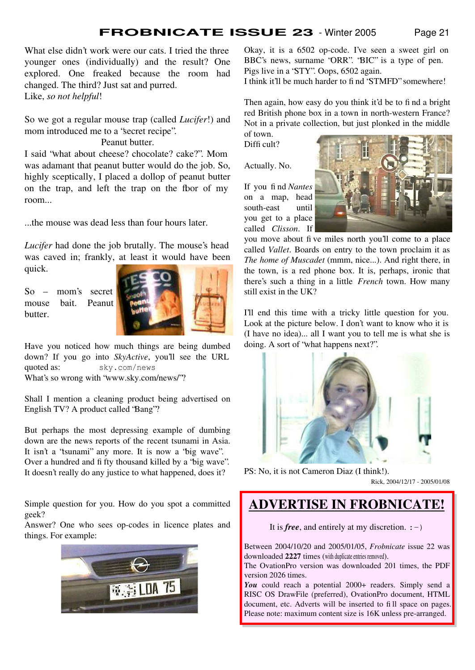What else didn't work were our cats. I tried the three younger ones (individually) and the result? One explored. One freaked because the room had changed. The third? Just sat and purred. Like, *so not helpful*!

So we got a regular mouse trap (called *Lucifer*!) and mom introduced me to a "secret recipe".

Peanut butter.

I said "what about cheese? chocolate? cake?". Mom was adamant that peanut butter would do the job. So, highly sceptically, I placed a dollop of peanut butter on the trap, and left the trap on the floor of my room...

...the mouse was dead less than four hours later.

*Lucifer* had done the job brutally. The mouse's head was caved in; frankly, at least it would have been quick.

So – mom's secret mouse bait. Peanut butter.



Have you noticed how much things are being dumbed down? If you go into *SkyActive*, you'll see the URL quoted as: sky.com/news What's so wrong with "www.sky.com/news/"?

Shall I mention a cleaning product being advertised on English TV? A product called "Bang"?

But perhaps the most depressing example of dumbing down are the news reports of the recent tsunami in Asia. It isn't a "tsunami" any more. It is now a "big wave". Over a hundred and fifty thousand killed by a "big wave". It doesn't really do any justice to what happened, does it?

Simple question for you. How do you spot a committed geek?

Answer? One who sees op-codes in licence plates and things. For example:



Okay, it is a 6502 op-code. I've seen a sweet girl on BBC's news, surname "ORR". "BIC" is a type of pen. Pigs live in a "STY". Oops, 6502 again.

I think it'll be much harder to find "STMFD" somewhere!

Then again, how easy do you think it'd be to find a bright red British phone box in a town in north-western France? Not in a private collection, but just plonked in the middle of town.

Difficult?

Actually. No.

If you find *Nantes* on a map, head south-east until you get to a place called *Clisson*. If



you move about five miles north you'll come to a place called *Vallet*. Boards on entry to the town proclaim it as *The home of Muscadet* (mmm, nice...). And right there, in the town, is a red phone box. It is, perhaps, ironic that there's such a thing in a little *French* town. How many still exist in the UK?

I'll end this time with a tricky little question for you. Look at the picture below. I don't want to know who it is (I have no idea)... all I want you to tell me is what she is doing. A sort of "what happens next?".



PS: No, it is not Cameron Diaz (I think!). Rick, 2004/12/17 - 2005/01/08

### **ADVERTISE IN FROBNICATE!**

It is *free*, and entirely at my discretion.  $:-)$ 

Between 2004/10/20 and 2005/01/05, *Frobnicate* issue 22 was downloaded **2227** times (with duplicate entries removed).

The OvationPro version was downloaded 201 times, the PDF version 2026 times.

You could reach a potential 2000+ readers. Simply send a RISC OS DrawFile (preferred), OvationPro document, HTML document, etc. Adverts will be inserted to fill space on pages. Please note: maximum content size is 16K unless pre-arranged.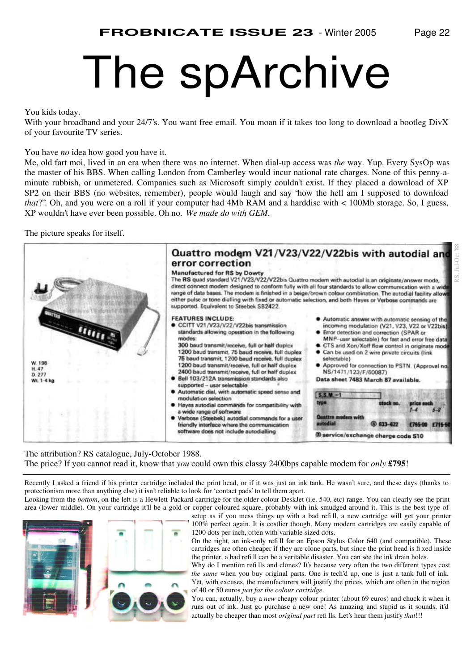## The spArchive

#### You kids today.

With your broadband and your 24/7's. You want free email. You moan if it takes too long to download a bootleg DivX of your favourite TV series.

You have *no* idea how good you have it.

Me, old fart moi, lived in an era when there was no internet. When dial-up access was *the* way. Yup. Every SysOp was the master of his BBS. When calling London from Camberley would incur national rate charges. None of this penny-aminute rubbish, or unmetered. Companies such as Microsoft simply couldn't exist. If they placed a download of XP SP2 on their BBS (no websites, remember), people would laugh and say "how the hell am I supposed to download *that*?". Oh, and you were on a roll if your computer had 4Mb RAM and a harddisc with < 100Mb storage. So, I guess, XP wouldn't have ever been possible. Oh no. *We made do with GEM*.

The picture speaks for itself.



The attribution? RS catalogue, July-October 1988. The price? If you cannot read it, know that *you* could own this classy 2400bps capable modem for *only* **£795**!

Recently I asked a friend if his printer cartridge included the print head, or if it was just an ink tank. He wasn't sure, and these days (thanks to protectionism more than anything else) it isn't reliable to look for 'contact pads' to tell them apart. Looking from the *bottom*, on the left is a Hewlett-Packard cartridge for the older colour DeskJet (i.e. 540, etc) range. You can clearly see the print area (lower middle). On your cartridge it'll be a gold or copper coloured square, probably with ink smudged around it. This is the best type of



setup as if you mess things up with a bad refill, a new cartridge will get your printer 100% perfect again. It is costlier though. Many modern cartridges are easily capable of 1200 dots per inch, often with variable-sized dots.

On the right, an ink-only refill for an Epson Stylus Color 640 (and compatible). These cartridges are often cheaper if they are clone parts, but since the print head is fixed inside the printer, a bad refill can be a veritable disaster. You can see the ink drain holes.

Why do I mention refills and clones? It's because very often the two different types cost *the same* when you buy original parts. One is tech'd up, one is just a tank full of ink. Yet, with excuses, the manufacturers will justify the prices, which are often in the region of 40 or 50 euros *just for the colour cartridge.*

You can, actually, buy a *new* cheapy colour printer (about 69 euros) and chuck it when it runs out of ink. Just go purchase a new one! As amazing and stupid as it sounds, it'd actually be cheaper than most *original part* refills. Let's hear them justify *that*!!!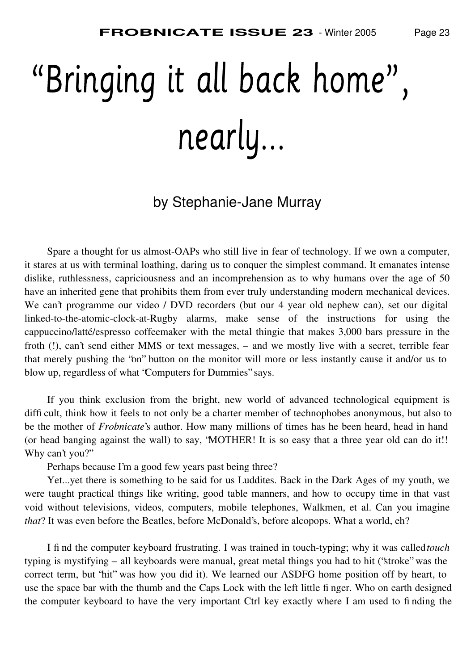# nearly...

### by Stephanie-Jane Murray

Spare a thought for us almost-OAPs who still live in fear of technology. If we own a computer, it stares at us with terminal loathing, daring us to conquer the simplest command. It emanates intense dislike, ruthlessness, capriciousness and an incomprehension as to why humans over the age of 50 have an inherited gene that prohibits them from ever truly understanding modern mechanical devices. We can't programme our video / DVD recorders (but our 4 year old nephew can), set our digital linked-to-the-atomic-clock-at-Rugby alarms, make sense of the instructions for using the cappuccino/latté/espresso coffeemaker with the metal thingie that makes 3,000 bars pressure in the froth (!), can't send either MMS or text messages, – and we mostly live with a secret, terrible fear that merely pushing the "on" button on the monitor will more or less instantly cause it and/or us to blow up, regardless of what "Computers for Dummies" says.

If you think exclusion from the bright, new world of advanced technological equipment is difficult, think how it feels to not only be a charter member of technophobes anonymous, but also to be the mother of *Frobnicate*'s author. How many millions of times has he been heard, head in hand (or head banging against the wall) to say, "MOTHER! It is so easy that a three year old can do it!! Why can't you?"

Perhaps because I'm a good few years past being three?

Yet...yet there is something to be said for us Luddites. Back in the Dark Ages of my youth, we were taught practical things like writing, good table manners, and how to occupy time in that vast void without televisions, videos, computers, mobile telephones, Walkmen, et al. Can you imagine *that*? It was even before the Beatles, before McDonald's, before alcopops. What a world, eh?

I find the computer keyboard frustrating. I was trained in touch-typing; why it was called *touch* typing is mystifying – all keyboards were manual, great metal things you had to hit ("stroke" was the correct term, but "hit" was how you did it). We learned our ASDFG home position off by heart, to use the space bar with the thumb and the Caps Lock with the left little finger. Who on earth designed the computer keyboard to have the very important Ctrl key exactly where I am used to finding the